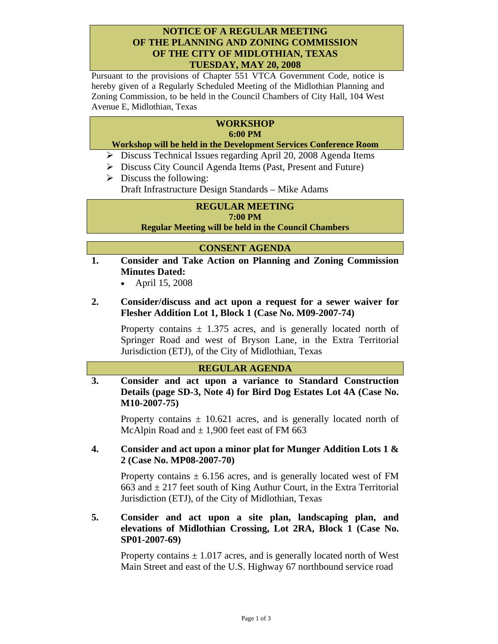#### **NOTICE OF A REGULAR MEETING OF THE PLANNING AND ZONING COMMISSION OF THE CITY OF MIDLOTHIAN, TEXAS TUESDAY, MAY 20, 2008**

Pursuant to the provisions of Chapter 551 VTCA Government Code, notice is hereby given of a Regularly Scheduled Meeting of the Midlothian Planning and Zoning Commission, to be held in the Council Chambers of City Hall, 104 West Avenue E, Midlothian, Texas

#### **WORKSHOP 6:00 PM**

#### **Workshop will be held in the Development Services Conference Room**

- ¾ Discuss Technical Issues regarding April 20, 2008 Agenda Items
- ¾ Discuss City Council Agenda Items (Past, Present and Future)
- $\triangleright$  Discuss the following:
	- Draft Infrastructure Design Standards Mike Adams

## **REGULAR MEETING**

#### **7:00 PM**

**Regular Meeting will be held in the Council Chambers** 

#### **CONSENT AGENDA**

- **1. Consider and Take Action on Planning and Zoning Commission Minutes Dated:** 
	- April 15, 2008

## **2. Consider/discuss and act upon a request for a sewer waiver for Flesher Addition Lot 1, Block 1 (Case No. M09-2007-74)**

Property contains  $\pm$  1.375 acres, and is generally located north of Springer Road and west of Bryson Lane, in the Extra Territorial Jurisdiction (ETJ), of the City of Midlothian, Texas

#### **REGULAR AGENDA**

**3. Consider and act upon a variance to Standard Construction Details (page SD-3, Note 4) for Bird Dog Estates Lot 4A (Case No. M10-2007-75)** 

Property contains  $\pm$  10.621 acres, and is generally located north of McAlpin Road and  $\pm$  1,900 feet east of FM 663

## **4. Consider and act upon a minor plat for Munger Addition Lots 1 & 2 (Case No. MP08-2007-70)**

Property contains  $\pm$  6.156 acres, and is generally located west of FM 663 and  $\pm$  217 feet south of King Authur Court, in the Extra Territorial Jurisdiction (ETJ), of the City of Midlothian, Texas

### **5. Consider and act upon a site plan, landscaping plan, and elevations of Midlothian Crossing, Lot 2RA, Block 1 (Case No. SP01-2007-69)**

Property contains  $\pm$  1.017 acres, and is generally located north of West Main Street and east of the U.S. Highway 67 northbound service road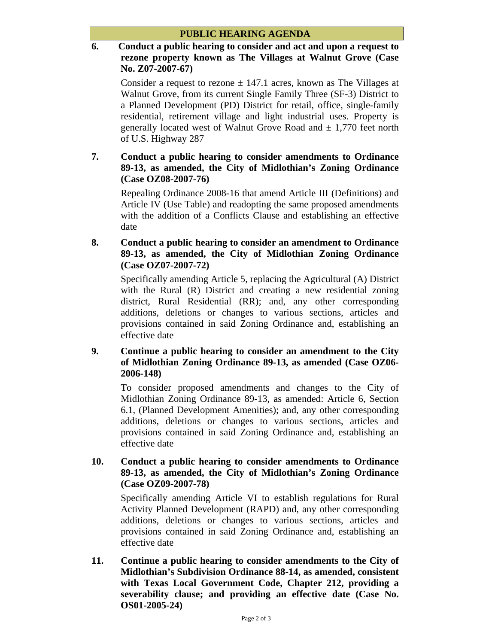## **6. Conduct a public hearing to consider and act and upon a request to rezone property known as The Villages at Walnut Grove (Case No. Z07-2007-67)**

Consider a request to rezone  $\pm$  147.1 acres, known as The Villages at Walnut Grove, from its current Single Family Three (SF-3) District to a Planned Development (PD) District for retail, office, single-family residential, retirement village and light industrial uses. Property is generally located west of Walnut Grove Road and  $\pm$  1,770 feet north of U.S. Highway 287

# **7. Conduct a public hearing to consider amendments to Ordinance 89-13, as amended, the City of Midlothian's Zoning Ordinance (Case OZ08-2007-76)**

Repealing Ordinance 2008-16 that amend Article III (Definitions) and Article IV (Use Table) and readopting the same proposed amendments with the addition of a Conflicts Clause and establishing an effective date

# **8. Conduct a public hearing to consider an amendment to Ordinance 89-13, as amended, the City of Midlothian Zoning Ordinance (Case OZ07-2007-72)**

Specifically amending Article 5, replacing the Agricultural (A) District with the Rural (R) District and creating a new residential zoning district, Rural Residential (RR); and, any other corresponding additions, deletions or changes to various sections, articles and provisions contained in said Zoning Ordinance and, establishing an effective date

## **9. Continue a public hearing to consider an amendment to the City of Midlothian Zoning Ordinance 89-13, as amended (Case OZ06- 2006-148)**

To consider proposed amendments and changes to the City of Midlothian Zoning Ordinance 89-13, as amended: Article 6, Section 6.1, (Planned Development Amenities); and, any other corresponding additions, deletions or changes to various sections, articles and provisions contained in said Zoning Ordinance and, establishing an effective date

### **10. Conduct a public hearing to consider amendments to Ordinance 89-13, as amended, the City of Midlothian's Zoning Ordinance (Case OZ09-2007-78)**

Specifically amending Article VI to establish regulations for Rural Activity Planned Development (RAPD) and, any other corresponding additions, deletions or changes to various sections, articles and provisions contained in said Zoning Ordinance and, establishing an effective date

**11. Continue a public hearing to consider amendments to the City of Midlothian's Subdivision Ordinance 88-14, as amended, consistent with Texas Local Government Code, Chapter 212, providing a severability clause; and providing an effective date (Case No. OS01-2005-24)**